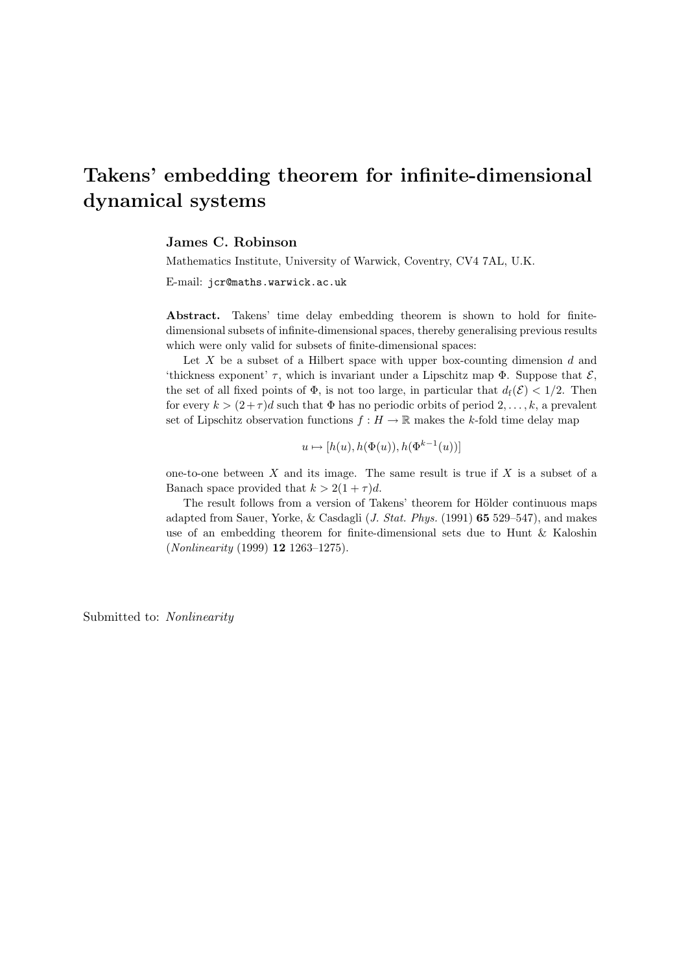# Takens' embedding theorem for infinite-dimensional dynamical systems

#### James C. Robinson

Mathematics Institute, University of Warwick, Coventry, CV4 7AL, U.K.

E-mail: jcr@maths.warwick.ac.uk

Abstract. Takens' time delay embedding theorem is shown to hold for finitedimensional subsets of infinite-dimensional spaces, thereby generalising previous results which were only valid for subsets of finite-dimensional spaces:

Let  $X$  be a subset of a Hilbert space with upper box-counting dimension  $d$  and 'thickness exponent'  $\tau$ , which is invariant under a Lipschitz map  $\Phi$ . Suppose that  $\mathcal{E}$ . the set of all fixed points of  $\Phi$ , is not too large, in particular that  $d_f(\mathcal{E}) < 1/2$ . Then for every  $k > (2+\tau)d$  such that  $\Phi$  has no periodic orbits of period  $2, \ldots, k$ , a prevalent set of Lipschitz observation functions  $f : H \to \mathbb{R}$  makes the k-fold time delay map

$$
u \mapsto [h(u), h(\Phi(u)), h(\Phi^{k-1}(u))]
$$

one-to-one between  $X$  and its image. The same result is true if  $X$  is a subset of a Banach space provided that  $k > 2(1 + \tau)d$ .

The result follows from a version of Takens' theorem for Hölder continuous maps adapted from Sauer, Yorke, & Casdagli (J. Stat. Phys. (1991) 65 529–547), and makes use of an embedding theorem for finite-dimensional sets due to Hunt & Kaloshin (Nonlinearity (1999) 12 1263–1275).

Submitted to: Nonlinearity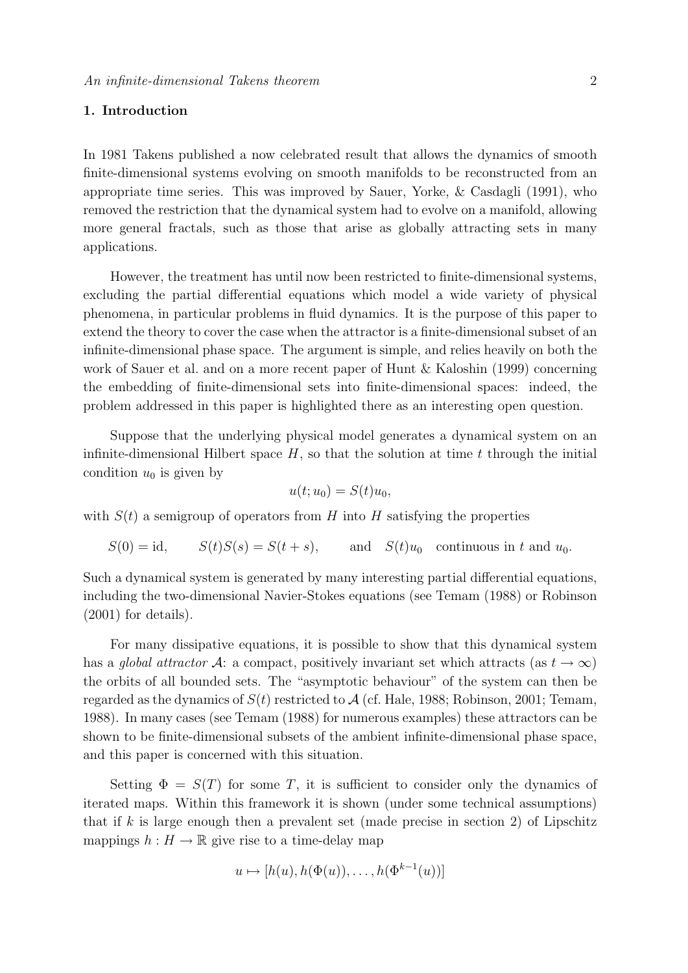# 1. Introduction

In 1981 Takens published a now celebrated result that allows the dynamics of smooth finite-dimensional systems evolving on smooth manifolds to be reconstructed from an appropriate time series. This was improved by Sauer, Yorke, & Casdagli (1991), who removed the restriction that the dynamical system had to evolve on a manifold, allowing more general fractals, such as those that arise as globally attracting sets in many applications.

However, the treatment has until now been restricted to finite-dimensional systems, excluding the partial differential equations which model a wide variety of physical phenomena, in particular problems in fluid dynamics. It is the purpose of this paper to extend the theory to cover the case when the attractor is a finite-dimensional subset of an infinite-dimensional phase space. The argument is simple, and relies heavily on both the work of Sauer et al. and on a more recent paper of Hunt & Kaloshin (1999) concerning the embedding of finite-dimensional sets into finite-dimensional spaces: indeed, the problem addressed in this paper is highlighted there as an interesting open question.

Suppose that the underlying physical model generates a dynamical system on an infinite-dimensional Hilbert space  $H$ , so that the solution at time  $t$  through the initial condition  $u_0$  is given by

$$
u(t; u_0) = S(t)u_0,
$$

with  $S(t)$  a semigroup of operators from H into H satisfying the properties

 $S(0) = id$ ,  $S(t)S(s) = S(t + s)$ , and  $S(t)u_0$  continuous in t and  $u_0$ .

Such a dynamical system is generated by many interesting partial differential equations, including the two-dimensional Navier-Stokes equations (see Temam (1988) or Robinson (2001) for details).

For many dissipative equations, it is possible to show that this dynamical system has a global attractor A: a compact, positively invariant set which attracts (as  $t \to \infty$ ) the orbits of all bounded sets. The "asymptotic behaviour" of the system can then be regarded as the dynamics of  $S(t)$  restricted to A (cf. Hale, 1988; Robinson, 2001; Temam, 1988). In many cases (see Temam (1988) for numerous examples) these attractors can be shown to be finite-dimensional subsets of the ambient infinite-dimensional phase space, and this paper is concerned with this situation.

Setting  $\Phi = S(T)$  for some T, it is sufficient to consider only the dynamics of iterated maps. Within this framework it is shown (under some technical assumptions) that if k is large enough then a prevalent set (made precise in section 2) of Lipschitz mappings  $h : H \to \mathbb{R}$  give rise to a time-delay map

$$
u \mapsto [h(u), h(\Phi(u)), \dots, h(\Phi^{k-1}(u))]
$$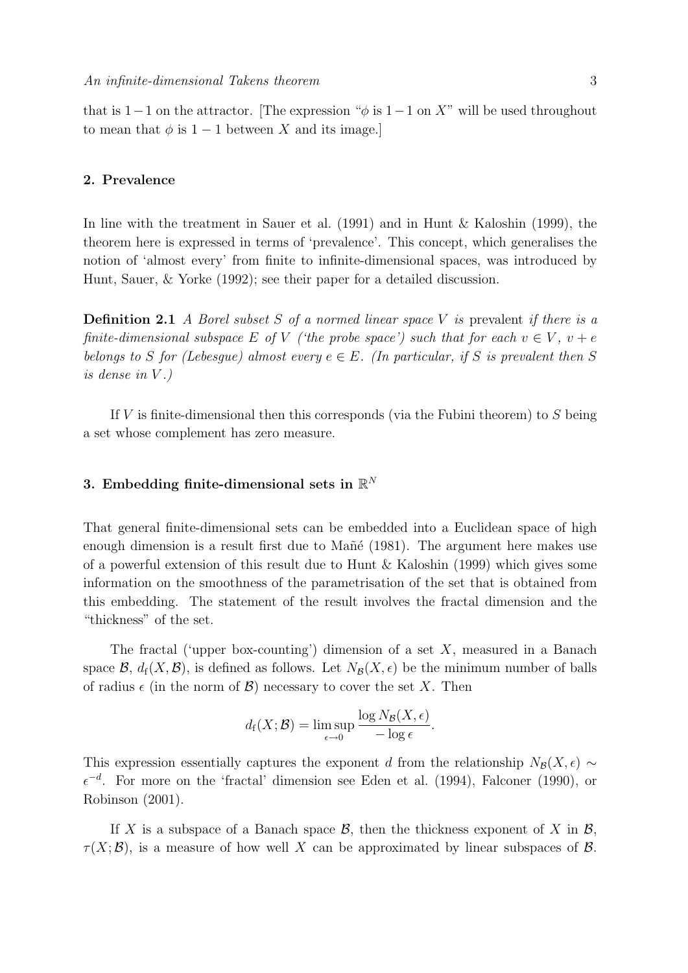that is 1−1 on the attractor. [The expression " $\phi$  is 1−1 on X" will be used throughout to mean that  $\phi$  is 1 − 1 between X and its image.]

## 2. Prevalence

In line with the treatment in Sauer et al. (1991) and in Hunt & Kaloshin (1999), the theorem here is expressed in terms of 'prevalence'. This concept, which generalises the notion of 'almost every' from finite to infinite-dimensional spaces, was introduced by Hunt, Sauer, & Yorke (1992); see their paper for a detailed discussion.

**Definition 2.1** A Borel subset S of a normed linear space V is prevalent if there is a finite-dimensional subspace E of V ('the probe space') such that for each  $v \in V$ ,  $v + e$ belongs to S for (Lebesque) almost every  $e \in E$ . (In particular, if S is prevalent then S is dense in  $V.$ )

If  $V$  is finite-dimensional then this corresponds (via the Fubini theorem) to  $S$  being a set whose complement has zero measure.

# 3. Embedding finite-dimensional sets in  $\mathbb{R}^N$

That general finite-dimensional sets can be embedded into a Euclidean space of high enough dimension is a result first due to Mañé (1981). The argument here makes use of a powerful extension of this result due to Hunt & Kaloshin (1999) which gives some information on the smoothness of the parametrisation of the set that is obtained from this embedding. The statement of the result involves the fractal dimension and the "thickness" of the set.

The fractal ('upper box-counting') dimension of a set  $X$ , measured in a Banach space  $\mathcal{B}$ ,  $d_f(X, \mathcal{B})$ , is defined as follows. Let  $N_{\mathcal{B}}(X, \epsilon)$  be the minimum number of balls of radius  $\epsilon$  (in the norm of  $\mathcal{B}$ ) necessary to cover the set X. Then

$$
d_{\mathrm{f}}(X; \mathcal{B}) = \limsup_{\epsilon \to 0} \frac{\log N_{\mathcal{B}}(X, \epsilon)}{-\log \epsilon}.
$$

This expression essentially captures the exponent d from the relationship  $N_{\mathcal{B}}(X, \epsilon)$  ∼  $\epsilon^{-d}$ . For more on the 'fractal' dimension see Eden et al. (1994), Falconer (1990), or Robinson (2001).

If X is a subspace of a Banach space  $\mathcal{B}$ , then the thickness exponent of X in  $\mathcal{B}$ ,  $\tau(X;\mathcal{B})$ , is a measure of how well X can be approximated by linear subspaces of  $\mathcal{B}$ .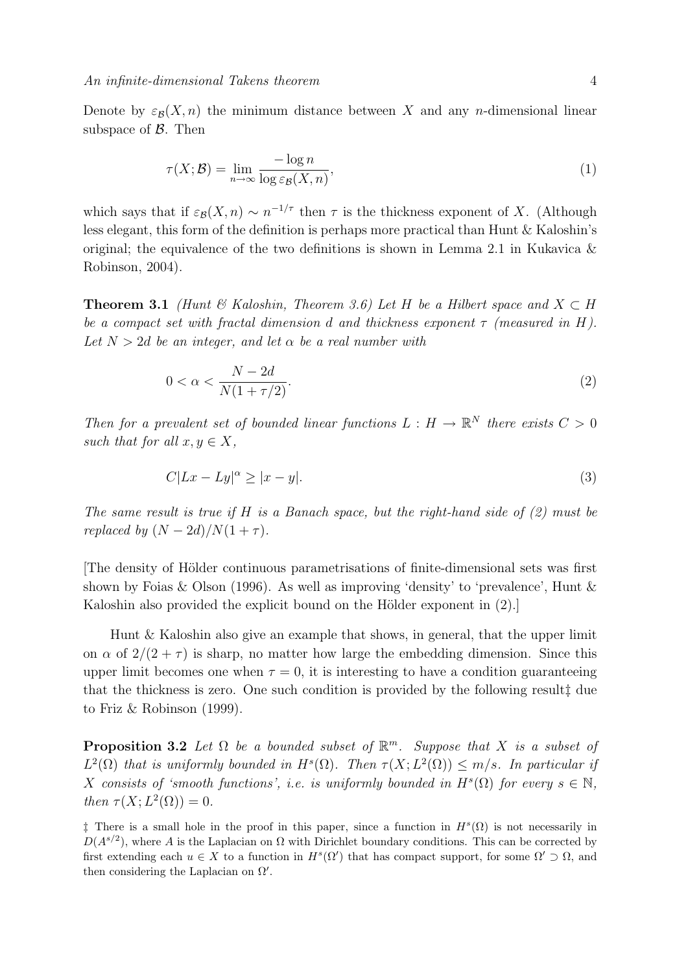Denote by  $\varepsilon_{\mathcal{B}}(X, n)$  the minimum distance between X and any n-dimensional linear subspace of  $\beta$ . Then

$$
\tau(X; \mathcal{B}) = \lim_{n \to \infty} \frac{-\log n}{\log \varepsilon_{\mathcal{B}}(X, n)},\tag{1}
$$

which says that if  $\varepsilon_{\mathcal{B}}(X, n) \sim n^{-1/\tau}$  then  $\tau$  is the thickness exponent of X. (Although less elegant, this form of the definition is perhaps more practical than Hunt & Kaloshin's original; the equivalence of the two definitions is shown in Lemma 2.1 in Kukavica  $\&$ Robinson, 2004).

**Theorem 3.1** (Hunt & Kaloshin, Theorem 3.6) Let H be a Hilbert space and  $X \subset H$ be a compact set with fractal dimension d and thickness exponent  $\tau$  (measured in H). Let  $N > 2d$  be an integer, and let  $\alpha$  be a real number with

$$
0 < \alpha < \frac{N - 2d}{N(1 + \tau/2)}.\tag{2}
$$

Then for a prevalent set of bounded linear functions  $L : H \to \mathbb{R}^N$  there exists  $C > 0$ such that for all  $x, y \in X$ ,

$$
C|Lx - Ly|^{\alpha} \ge |x - y|.\tag{3}
$$

The same result is true if  $H$  is a Banach space, but the right-hand side of  $(2)$  must be replaced by  $(N-2d)/N(1+\tau)$ .

[The density of H¨older continuous parametrisations of finite-dimensional sets was first shown by Foias & Olson (1996). As well as improving 'density' to 'prevalence', Hunt & Kaloshin also provided the explicit bound on the Hölder exponent in  $(2)$ .

Hunt & Kaloshin also give an example that shows, in general, that the upper limit on  $\alpha$  of  $2/(2+\tau)$  is sharp, no matter how large the embedding dimension. Since this upper limit becomes one when  $\tau = 0$ , it is interesting to have a condition guaranteeing that the thickness is zero. One such condition is provided by the following result‡ due to Friz & Robinson (1999).

**Proposition 3.2** Let  $\Omega$  be a bounded subset of  $\mathbb{R}^m$ . Suppose that X is a subset of  $L^2(\Omega)$  that is uniformly bounded in  $H^s(\Omega)$ . Then  $\tau(X; L^2(\Omega)) \leq m/s$ . In particular if X consists of 'smooth functions', i.e. is uniformly bounded in  $H<sup>s</sup>(\Omega)$  for every  $s \in \mathbb{N}$ , then  $\tau(X; L^2(\Omega)) = 0$ .

<sup>&</sup>lt;sup>†</sup> There is a small hole in the proof in this paper, since a function in  $H^s(\Omega)$  is not necessarily in  $D(A^{s/2})$ , where A is the Laplacian on  $\Omega$  with Dirichlet boundary conditions. This can be corrected by first extending each  $u \in X$  to a function in  $H^s(\Omega')$  that has compact support, for some  $\Omega' \supset \Omega$ , and then considering the Laplacian on  $\Omega'$ .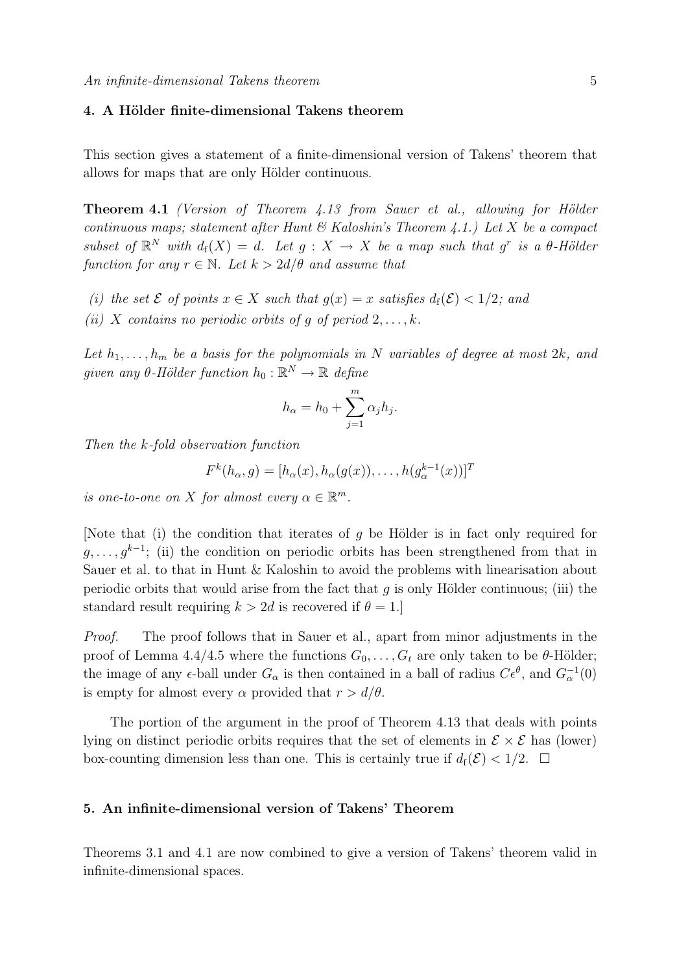# 4. A Hölder finite-dimensional Takens theorem

This section gives a statement of a finite-dimensional version of Takens' theorem that allows for maps that are only Hölder continuous.

**Theorem 4.1** (Version of Theorem  $4.13$  from Sauer et al., allowing for Hölder continuous maps; statement after Hunt  $\mathcal C$  Kaloshin's Theorem 4.1.) Let X be a compact subset of  $\mathbb{R}^N$  with  $d_f(X) = d$ . Let  $g: X \to X$  be a map such that  $g^r$  is a  $\theta$ -Hölder function for any  $r \in \mathbb{N}$ . Let  $k > 2d/\theta$  and assume that

- (i) the set  $\mathcal E$  of points  $x \in X$  such that  $q(x) = x$  satisfies  $d_f(\mathcal E) < 1/2$ ; and
- (ii) X contains no periodic orbits of q of period  $2, \ldots, k$ .

Let  $h_1, \ldots, h_m$  be a basis for the polynomials in N variables of degree at most  $2k$ , and given any  $\theta$ -Hölder function  $h_0 : \mathbb{R}^N \to \mathbb{R}$  define

$$
h_{\alpha} = h_0 + \sum_{j=1}^m \alpha_j h_j.
$$

Then the k-fold observation function

$$
F^k(h_\alpha, g) = [h_\alpha(x), h_\alpha(g(x)), \dots, h(g_\alpha^{k-1}(x))]^T
$$

is one-to-one on X for almost every  $\alpha \in \mathbb{R}^m$ .

[Note that (i) the condition that iterates of g be Hölder is in fact only required for  $g, \ldots, g^{k-1}$ ; (ii) the condition on periodic orbits has been strengthened from that in Sauer et al. to that in Hunt & Kaloshin to avoid the problems with linearisation about periodic orbits that would arise from the fact that q is only Hölder continuous; (iii) the standard result requiring  $k > 2d$  is recovered if  $\theta = 1$ .

Proof. The proof follows that in Sauer et al., apart from minor adjustments in the proof of Lemma 4.4/4.5 where the functions  $G_0, \ldots, G_t$  are only taken to be  $\theta$ -Hölder; the image of any  $\epsilon$ -ball under  $G_{\alpha}$  is then contained in a ball of radius  $C\epsilon^{\theta}$ , and  $G_{\alpha}^{-1}(0)$ is empty for almost every  $\alpha$  provided that  $r > d/\theta$ .

The portion of the argument in the proof of Theorem 4.13 that deals with points lying on distinct periodic orbits requires that the set of elements in  $\mathcal{E} \times \mathcal{E}$  has (lower) box-counting dimension less than one. This is certainly true if  $d_f(\mathcal{E}) < 1/2$ .  $\Box$ 

#### 5. An infinite-dimensional version of Takens' Theorem

Theorems 3.1 and 4.1 are now combined to give a version of Takens' theorem valid in infinite-dimensional spaces.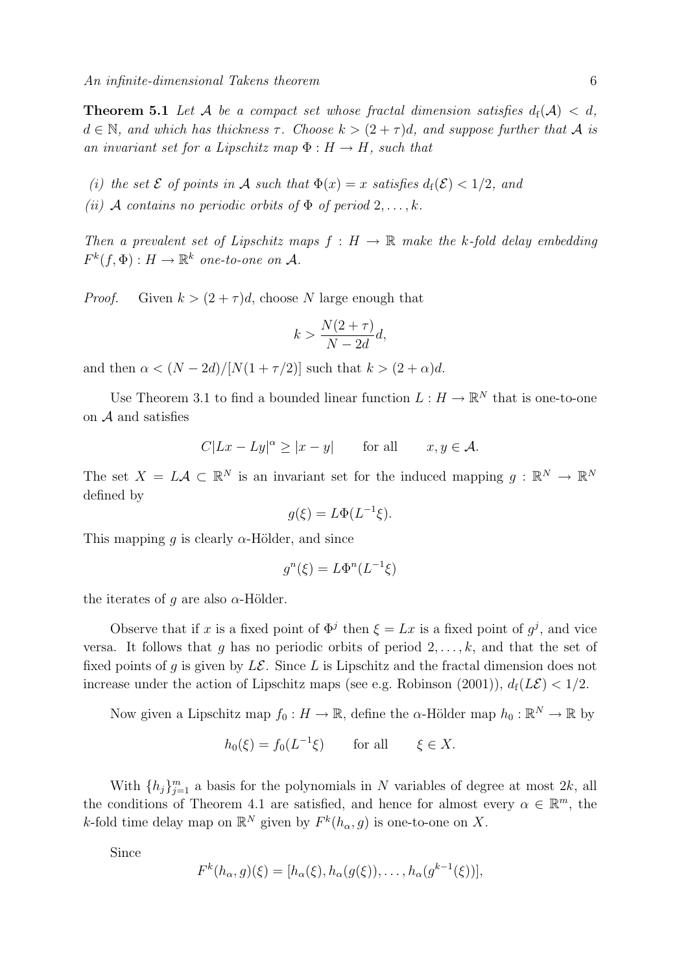**Theorem 5.1** Let A be a compact set whose fractal dimension satisfies  $d_f(A) < d$ ,  $d \in \mathbb{N}$ , and which has thickness  $\tau$ . Choose  $k > (2 + \tau)d$ , and suppose further that A is an invariant set for a Lipschitz map  $\Phi : H \to H$ , such that

- (i) the set  $\mathcal E$  of points in  $\mathcal A$  such that  $\Phi(x) = x$  satisfies  $d_f(\mathcal E) < 1/2$ , and
- (ii) A contains no periodic orbits of  $\Phi$  of period  $2, \ldots, k$ .

Then a prevalent set of Lipschitz maps  $f : H \to \mathbb{R}$  make the k-fold delay embedding  $F^k(f, \Phi) : H \to \mathbb{R}^k$  one-to-one on A.

*Proof.* Given  $k > (2 + \tau)d$ , choose N large enough that

$$
k > \frac{N(2+\tau)}{N-2d}d,
$$

and then  $\alpha < (N - 2d)/[N(1 + \tau/2)]$  such that  $k > (2 + \alpha)d$ .

Use Theorem 3.1 to find a bounded linear function  $L: H \to \mathbb{R}^N$  that is one-to-one on  $A$  and satisfies

$$
C|Lx - Ly|^{\alpha} \ge |x - y| \quad \text{for all} \quad x, y \in \mathcal{A}.
$$

The set  $X = L \mathcal{A} \subset \mathbb{R}^N$  is an invariant set for the induced mapping  $g : \mathbb{R}^N \to \mathbb{R}^N$ defined by

$$
g(\xi) = L\Phi(L^{-1}\xi).
$$

This mapping g is clearly  $\alpha$ -Hölder, and since

$$
g^n(\xi) = L\Phi^n(L^{-1}\xi)
$$

the iterates of g are also  $\alpha$ -Hölder.

Observe that if x is a fixed point of  $\Phi^j$  then  $\xi = Lx$  is a fixed point of  $g^j$ , and vice versa. It follows that g has no periodic orbits of period  $2, \ldots, k$ , and that the set of fixed points of q is given by  $L\mathcal{E}$ . Since L is Lipschitz and the fractal dimension does not increase under the action of Lipschitz maps (see e.g. Robinson (2001)),  $d_f(L\mathcal{E}) < 1/2$ .

Now given a Lipschitz map  $f_0: H \to \mathbb{R}$ , define the  $\alpha$ -Hölder map  $h_0: \mathbb{R}^N \to \mathbb{R}$  by

$$
h_0(\xi) = f_0(L^{-1}\xi) \qquad \text{for all} \qquad \xi \in X.
$$

With  $\{h_j\}_{j=1}^m$  a basis for the polynomials in N variables of degree at most  $2k$ , all the conditions of Theorem 4.1 are satisfied, and hence for almost every  $\alpha \in \mathbb{R}^m$ , the k-fold time delay map on  $\mathbb{R}^N$  given by  $F^k(h_{\alpha}, g)$  is one-to-one on X.

Since

$$
F^{k}(h_{\alpha}, g)(\xi) = [h_{\alpha}(\xi), h_{\alpha}(g(\xi)), \dots, h_{\alpha}(g^{k-1}(\xi))],
$$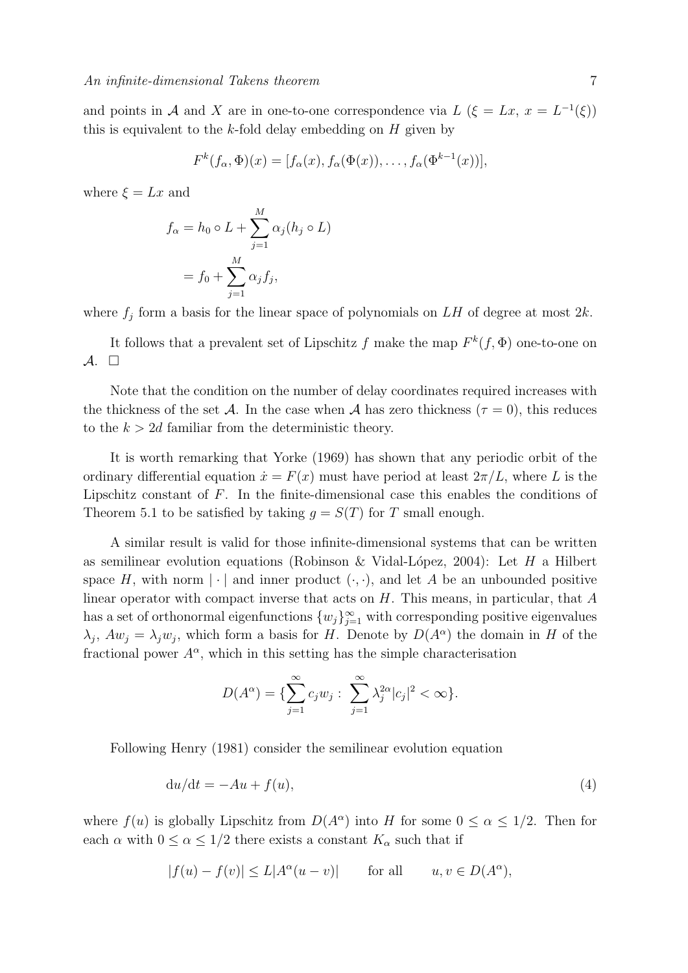and points in A and X are in one-to-one correspondence via  $L(\xi = Lx, x = L^{-1}(\xi))$ this is equivalent to the  $k$ -fold delay embedding on  $H$  given by

$$
F^{k}(f_{\alpha},\Phi)(x) = [f_{\alpha}(x), f_{\alpha}(\Phi(x)), \dots, f_{\alpha}(\Phi^{k-1}(x))],
$$

where  $\xi = Lx$  and

$$
f_{\alpha} = h_0 \circ L + \sum_{j=1}^{M} \alpha_j (h_j \circ L)
$$

$$
= f_0 + \sum_{j=1}^{M} \alpha_j f_j,
$$

where  $f_j$  form a basis for the linear space of polynomials on LH of degree at most  $2k$ .

It follows that a prevalent set of Lipschitz f make the map  $F^k(f, \Phi)$  one-to-one on  $\mathcal{A}$ .  $\Box$ 

Note that the condition on the number of delay coordinates required increases with the thickness of the set A. In the case when A has zero thickness ( $\tau = 0$ ), this reduces to the  $k > 2d$  familiar from the deterministic theory.

It is worth remarking that Yorke (1969) has shown that any periodic orbit of the ordinary differential equation  $\dot{x} = F(x)$  must have period at least  $2\pi/L$ , where L is the Lipschitz constant of F. In the finite-dimensional case this enables the conditions of Theorem 5.1 to be satisfied by taking  $q = S(T)$  for T small enough.

A similar result is valid for those infinite-dimensional systems that can be written as semilinear evolution equations (Robinson & Vidal-López, 2004): Let  $H$  a Hilbert space H, with norm  $|\cdot|$  and inner product  $(\cdot, \cdot)$ , and let A be an unbounded positive linear operator with compact inverse that acts on  $H$ . This means, in particular, that  $A$ has a set of orthonormal eigenfunctions  $\{w_j\}_{j=1}^{\infty}$  with corresponding positive eigenvalues  $\lambda_j$ ,  $Aw_j = \lambda_j w_j$ , which form a basis for H. Denote by  $D(A^{\alpha})$  the domain in H of the fractional power  $A^{\alpha}$ , which in this setting has the simple characterisation

$$
D(A^{\alpha}) = \{\sum_{j=1}^{\infty} c_j w_j : \sum_{j=1}^{\infty} \lambda_j^{2\alpha} |c_j|^2 < \infty\}.
$$

Following Henry (1981) consider the semilinear evolution equation

$$
du/dt = -Au + f(u),\tag{4}
$$

where  $f(u)$  is globally Lipschitz from  $D(A^{\alpha})$  into H for some  $0 \leq \alpha \leq 1/2$ . Then for each  $\alpha$  with  $0 \leq \alpha \leq 1/2$  there exists a constant  $K_{\alpha}$  such that if

$$
|f(u) - f(v)| \le L|A^{\alpha}(u - v)| \quad \text{for all} \quad u, v \in D(A^{\alpha}),
$$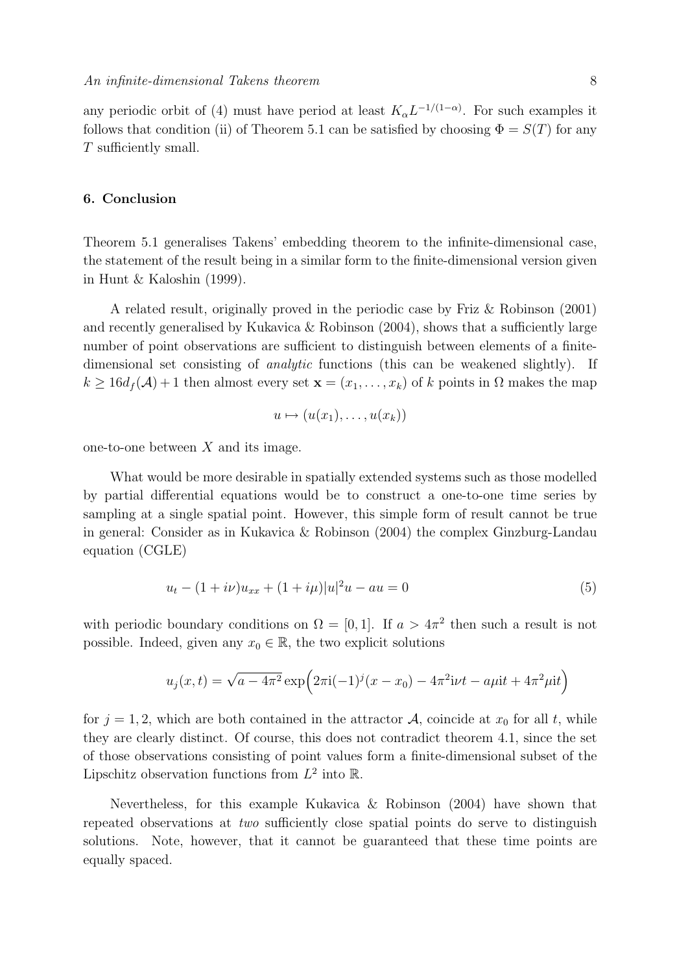any periodic orbit of (4) must have period at least  $K_{\alpha}L^{-1/(1-\alpha)}$ . For such examples it follows that condition (ii) of Theorem 5.1 can be satisfied by choosing  $\Phi = S(T)$  for any T sufficiently small.

# 6. Conclusion

Theorem 5.1 generalises Takens' embedding theorem to the infinite-dimensional case, the statement of the result being in a similar form to the finite-dimensional version given in Hunt & Kaloshin (1999).

A related result, originally proved in the periodic case by Friz & Robinson (2001) and recently generalised by Kukavica & Robinson (2004), shows that a sufficiently large number of point observations are sufficient to distinguish between elements of a finitedimensional set consisting of analytic functions (this can be weakened slightly). If  $k \geq 16d_f(\mathcal{A})+1$  then almost every set  $\mathbf{x}=(x_1,\ldots,x_k)$  of k points in  $\Omega$  makes the map

$$
u \mapsto (u(x_1), \ldots, u(x_k))
$$

one-to-one between  $X$  and its image.

What would be more desirable in spatially extended systems such as those modelled by partial differential equations would be to construct a one-to-one time series by sampling at a single spatial point. However, this simple form of result cannot be true in general: Consider as in Kukavica & Robinson (2004) the complex Ginzburg-Landau equation (CGLE)

$$
u_t - (1 + i\nu)u_{xx} + (1 + i\mu)|u|^2u - au = 0
$$
\n(5)

with periodic boundary conditions on  $\Omega = [0, 1]$ . If  $a > 4\pi^2$  then such a result is not possible. Indeed, given any  $x_0 \in \mathbb{R}$ , the two explicit solutions

$$
u_j(x,t) = \sqrt{a - 4\pi^2} \exp\left(2\pi i(-1)^j(x - x_0) - 4\pi^2 i\nu t - a\mu i t + 4\pi^2 \mu i t\right)
$$

for  $j = 1, 2$ , which are both contained in the attractor A, coincide at  $x_0$  for all t, while they are clearly distinct. Of course, this does not contradict theorem 4.1, since the set of those observations consisting of point values form a finite-dimensional subset of the Lipschitz observation functions from  $L^2$  into R.

Nevertheless, for this example Kukavica & Robinson (2004) have shown that repeated observations at two sufficiently close spatial points do serve to distinguish solutions. Note, however, that it cannot be guaranteed that these time points are equally spaced.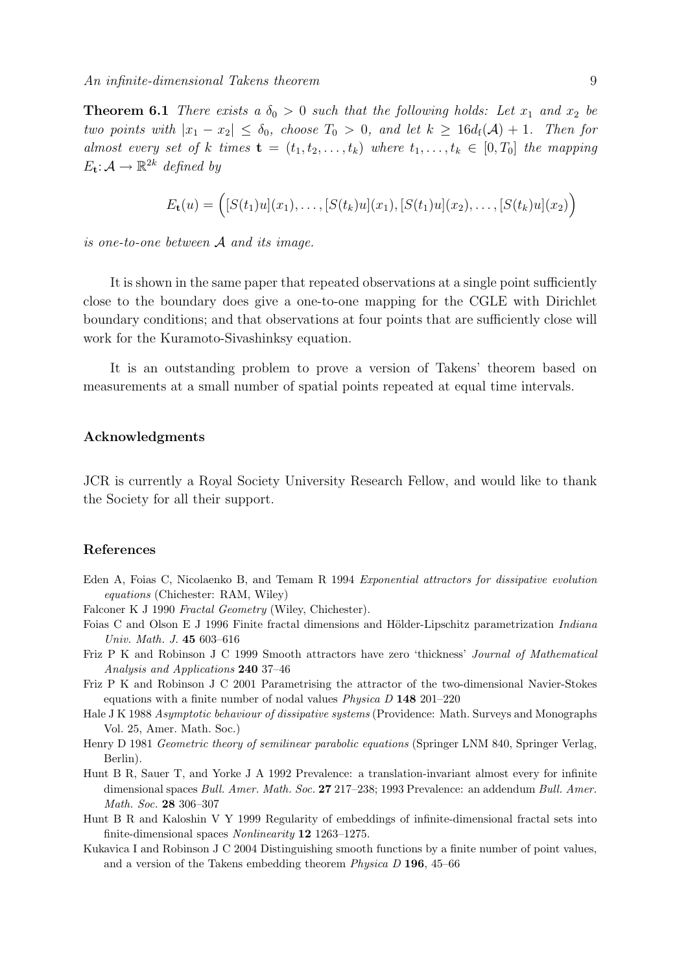**Theorem 6.1** There exists a  $\delta_0 > 0$  such that the following holds: Let  $x_1$  and  $x_2$  be two points with  $|x_1 - x_2| \leq \delta_0$ , choose  $T_0 > 0$ , and let  $k \geq 16d_f(\mathcal{A}) + 1$ . Then for almost every set of k times  $\mathbf{t} = (t_1, t_2, \ldots, t_k)$  where  $t_1, \ldots, t_k \in [0, T_0]$  the mapping  $E_{\mathbf{t}}: \mathcal{A} \to \mathbb{R}^{2k}$  defined by

$$
E_{\mathbf{t}}(u) = (S(t_1)u](x_1), \ldots, [S(t_k)u](x_1), [S(t_1)u](x_2), \ldots, [S(t_k)u](x_2))
$$

is one-to-one between  $A$  and its image.

It is shown in the same paper that repeated observations at a single point sufficiently close to the boundary does give a one-to-one mapping for the CGLE with Dirichlet boundary conditions; and that observations at four points that are sufficiently close will work for the Kuramoto-Sivashinksy equation.

It is an outstanding problem to prove a version of Takens' theorem based on measurements at a small number of spatial points repeated at equal time intervals.

# Acknowledgments

JCR is currently a Royal Society University Research Fellow, and would like to thank the Society for all their support.

# References

- Eden A, Foias C, Nicolaenko B, and Temam R 1994 Exponential attractors for dissipative evolution equations (Chichester: RAM, Wiley)
- Falconer K J 1990 Fractal Geometry (Wiley, Chichester).
- Foias C and Olson E J 1996 Finite fractal dimensions and Hölder-Lipschitz parametrization Indiana Univ. Math. J. 45 603–616
- Friz P K and Robinson J C 1999 Smooth attractors have zero 'thickness' Journal of Mathematical Analysis and Applications 240 37–46
- Friz P K and Robinson J C 2001 Parametrising the attractor of the two-dimensional Navier-Stokes equations with a finite number of nodal values Physica D 148 201–220
- Hale J K 1988 Asymptotic behaviour of dissipative systems (Providence: Math. Surveys and Monographs Vol. 25, Amer. Math. Soc.)
- Henry D 1981 Geometric theory of semilinear parabolic equations (Springer LNM 840, Springer Verlag, Berlin).
- Hunt B R, Sauer T, and Yorke J A 1992 Prevalence: a translation-invariant almost every for infinite dimensional spaces Bull. Amer. Math. Soc. 27 217-238; 1993 Prevalence: an addendum Bull. Amer. Math. Soc. 28 306–307
- Hunt B R and Kaloshin V Y 1999 Regularity of embeddings of infinite-dimensional fractal sets into finite-dimensional spaces Nonlinearity 12 1263–1275.
- Kukavica I and Robinson J C 2004 Distinguishing smooth functions by a finite number of point values, and a version of the Takens embedding theorem Physica D 196, 45–66